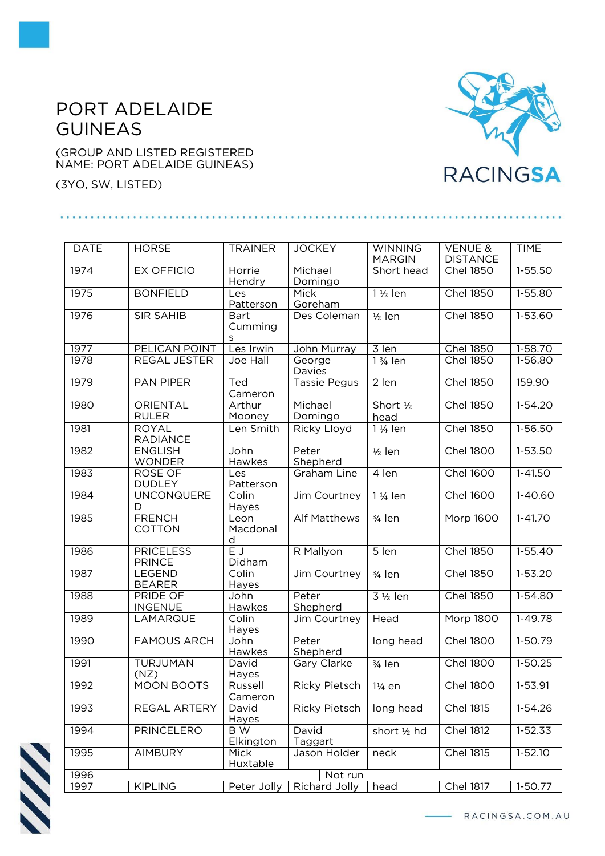## PORT ADELAIDE GUINEAS

(GROUP AND LISTED REGISTERED NAME: PORT ADELAIDE GUINEAS)

(3YO, SW, LISTED)

## **RACINGSA**

| <b>DATE</b> | <b>HORSE</b>                      | <b>TRAINER</b>                      | <b>JOCKEY</b>         | <b>WINNING</b><br><b>MARGIN</b> | <b>VENUE &amp;</b><br><b>DISTANCE</b> | <b>TIME</b> |  |  |  |
|-------------|-----------------------------------|-------------------------------------|-----------------------|---------------------------------|---------------------------------------|-------------|--|--|--|
| 1974        | <b>EX OFFICIO</b>                 | Horrie<br>Hendry                    | Michael<br>Domingo    | Short head                      | <b>Chel 1850</b>                      | 1-55.50     |  |  |  |
| 1975        | <b>BONFIELD</b>                   | Les<br>Patterson                    | Mick<br>Goreham       | 1 1/2 len                       | <b>Chel 1850</b>                      | 1-55.80     |  |  |  |
| 1976        | <b>SIR SAHIB</b>                  | Bart<br>Cumming<br>s                | Des Coleman           | $1/2$ len                       | <b>Chel 1850</b>                      | 1-53.60     |  |  |  |
| 1977        | PELICAN POINT                     | Les Irwin                           | John Murray           | 3 len                           | <b>Chel 1850</b>                      | 1-58.70     |  |  |  |
| 1978        | REGAL JESTER                      | Joe Hall                            | George<br>Davies      | $\overline{1}$ 3/4 len          | <b>Chel 1850</b>                      | $1-56.80$   |  |  |  |
| 1979        | <b>PAN PIPER</b>                  | Ted<br>Cameron                      | <b>Tassie Pegus</b>   | 2 len                           | <b>Chel 1850</b>                      | 159.90      |  |  |  |
| 1980        | ORIENTAL<br><b>RULER</b>          | Arthur<br>Mooney                    | Michael<br>Domingo    | Short 1/2<br>head               | <b>Chel 1850</b>                      | $1-54.20$   |  |  |  |
| 1981        | <b>ROYAL</b><br><b>RADIANCE</b>   | Len Smith                           | Ricky Lloyd           | 1 1/ <sub>4</sub> len           | <b>Chel 1850</b>                      | 1-56.50     |  |  |  |
| 1982        | <b>ENGLISH</b><br><b>WONDER</b>   | John<br>Hawkes                      | Peter<br>Shepherd     | $1/2$ len                       | <b>Chel 1800</b>                      | $1 - 53.50$ |  |  |  |
| 1983        | <b>ROSE OF</b><br><b>DUDLEY</b>   | Les<br>Patterson                    | Graham Line           | 4 len                           | <b>Chel 1600</b>                      | $1-41.50$   |  |  |  |
| 1984        | <b>UNCONQUERE</b><br>D            | Colin<br>Hayes                      | Jim Courtney          | 1 1/ <sub>4</sub> len           | <b>Chel 1600</b>                      | $1-40.60$   |  |  |  |
| 1985        | <b>FRENCH</b><br>COTTON           | Leon<br>Macdonal<br>d               | <b>Alf Matthews</b>   | $3/4$ len                       | Morp 1600                             | $1 - 41.70$ |  |  |  |
| 1986        | <b>PRICELESS</b><br><b>PRINCE</b> | $\overline{\mathsf{E}}$ J<br>Didham | R Mallyon             | $5$ len                         | <b>Chel 1850</b>                      | $1-55.40$   |  |  |  |
| 1987        | LEGEND<br><b>BEARER</b>           | Colin<br>Hayes                      | Jim Courtney          | 3/4 len                         | <b>Chel 1850</b>                      | $1 - 53.20$ |  |  |  |
| 1988        | PRIDE OF<br><b>INGENUE</b>        | John<br>Hawkes                      | Peter<br>Shepherd     | 3 1/2 len                       | <b>Chel 1850</b>                      | $1-54.80$   |  |  |  |
| 1989        | LAMARQUE                          | Colin<br>Hayes                      | Jim Courtney          | Head                            | Morp 1800                             | 1-49.78     |  |  |  |
| 1990        | <b>FAMOUS ARCH</b>                | John<br>Hawkes                      | Peter<br>Shepherd     | long head                       | <b>Chel 1800</b>                      | 1-50.79     |  |  |  |
| 1991        | <b>TURJUMAN</b><br>(NZ)           | David<br>Hayes                      | Gary Clarke           | $\frac{3}{4}$ len               | <b>Chel 1800</b>                      | $1 - 50.25$ |  |  |  |
| 1992        | MOON BOOTS                        | Russell<br>Cameron                  | Ricky Pietsch   1¼ en |                                 | <b>Chel 1800</b>                      | $1 - 53.91$ |  |  |  |
| 1993        | REGAL ARTERY                      | David<br><b>Hayes</b>               | Ricky Pietsch         | long head                       | Chel 1815                             | 1-54.26     |  |  |  |
| 1994        | <b>PRINCELERO</b>                 | B W<br><b>Elkington</b>             | David<br>Taggart      | short 1/2 hd                    | <b>Chel 1812</b>                      | 1-52.33     |  |  |  |
| 1995        | <b>AIMBURY</b>                    | Mick<br>Huxtable                    | Jason Holder          | neck                            | Chel 1815                             | $1 - 52.10$ |  |  |  |
| 1996        | Not run                           |                                     |                       |                                 |                                       |             |  |  |  |
| 1997        | <b>KIPLING</b>                    | Peter Jolly                         | Richard Jolly         | head                            | <b>Chel 1817</b>                      | 1-50.77     |  |  |  |